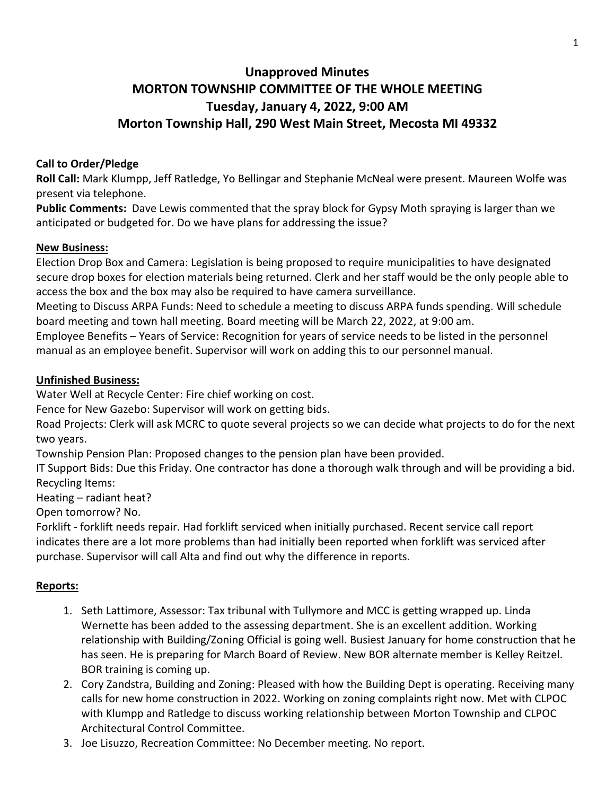# **Unapproved Minutes MORTON TOWNSHIP COMMITTEE OF THE WHOLE MEETING Tuesday, January 4, 2022, 9:00 AM Morton Township Hall, 290 West Main Street, Mecosta MI 49332**

## **Call to Order/Pledge**

**Roll Call:** Mark Klumpp, Jeff Ratledge, Yo Bellingar and Stephanie McNeal were present. Maureen Wolfe was present via telephone.

**Public Comments:** Dave Lewis commented that the spray block for Gypsy Moth spraying is larger than we anticipated or budgeted for. Do we have plans for addressing the issue?

### **New Business:**

Election Drop Box and Camera: Legislation is being proposed to require municipalities to have designated secure drop boxes for election materials being returned. Clerk and her staff would be the only people able to access the box and the box may also be required to have camera surveillance.

Meeting to Discuss ARPA Funds: Need to schedule a meeting to discuss ARPA funds spending. Will schedule board meeting and town hall meeting. Board meeting will be March 22, 2022, at 9:00 am.

Employee Benefits – Years of Service: Recognition for years of service needs to be listed in the personnel manual as an employee benefit. Supervisor will work on adding this to our personnel manual.

### **Unfinished Business:**

Water Well at Recycle Center: Fire chief working on cost.

Fence for New Gazebo: Supervisor will work on getting bids.

Road Projects: Clerk will ask MCRC to quote several projects so we can decide what projects to do for the next two years.

Township Pension Plan: Proposed changes to the pension plan have been provided.

IT Support Bids: Due this Friday. One contractor has done a thorough walk through and will be providing a bid. Recycling Items:

Heating – radiant heat?

Open tomorrow? No.

Forklift - forklift needs repair. Had forklift serviced when initially purchased. Recent service call report indicates there are a lot more problems than had initially been reported when forklift was serviced after purchase. Supervisor will call Alta and find out why the difference in reports.

## **Reports:**

- 1. Seth Lattimore, Assessor: Tax tribunal with Tullymore and MCC is getting wrapped up. Linda Wernette has been added to the assessing department. She is an excellent addition. Working relationship with Building/Zoning Official is going well. Busiest January for home construction that he has seen. He is preparing for March Board of Review. New BOR alternate member is Kelley Reitzel. BOR training is coming up.
- 2. Cory Zandstra, Building and Zoning: Pleased with how the Building Dept is operating. Receiving many calls for new home construction in 2022. Working on zoning complaints right now. Met with CLPOC with Klumpp and Ratledge to discuss working relationship between Morton Township and CLPOC Architectural Control Committee.
- 3. Joe Lisuzzo, Recreation Committee: No December meeting. No report.